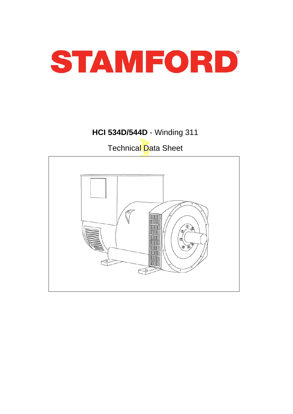

# **HCI 534D/544D** - Winding 311

Technical Data Sheet

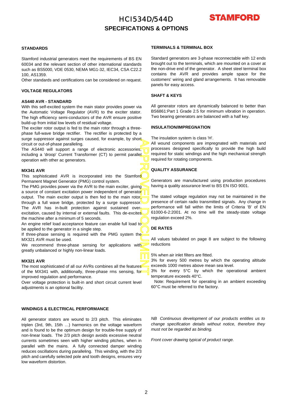# HCI534D/544D **SPECIFICATIONS & OPTIONS**



#### **STANDARDS**

Stamford industrial generators meet the requirements of BS EN 60034 and the relevant section of other international standards such as BS5000, VDE 0530, NEMA MG1-32, IEC34, CSA C22.2 100, AS1359.

Other standards and certifications can be considered on request.

### **VOLTAGE REGULATORS**

### **AS440 AVR - STANDARD**

With this self-excited system the main stator provides power via the Automatic Voltage Regulator (AVR) to the exciter stator. The high efficiency semi-conductors of the AVR ensure positive build-up from initial low levels of residual voltage.

The exciter rotor output is fed to the main rotor through a threephase full-wave bridge rectifier. The rectifier is protected by a surge suppressor against surges caused, for example, by short circuit or out-of-phase paralleling.

The AS440 will support a range of electronic accessories, including a 'droop' Current Transformer (CT) to permit parallel operation with other ac generators.

#### **MX341 AVR**

This sophisticated AVR is incorporated into the Stamford Permanent Magnet Generator (PMG) control system.

APPROVED DOCUMENT The PMG provides power via the AVR to the main exciter, giving a source of constant excitation power independent of generato<mark>r</mark> output. The main exciter output is then fed to the main rotor, through a full wave bridge, protected by a surge suppressor. The AVR has in-built protection against sustained overexcitation, caused by internal or external faults. This de-excites the machine after a minimum of 5 seconds.

An engine relief load acceptance feature can enable full load to be applied to the generator in a single step.

If three-phase sensing is required with the PMG system the MX321 AVR must be used.

We recommend three-phase sensing for applications with greatly unbalanced or highly non-linear loads.

#### **MX321 AVR**

The most sophisticated of all our AVRs combines all the features of the MX341 with, additionally, three-phase rms sensing, for improved regulation and performance.

Over voltage protection is built-in and short circuit current level adjustments is an optional facility.

### **WINDINGS & ELECTRICAL PERFORMANCE**

All generator stators are wound to 2/3 pitch. This eliminates triplen (3rd, 9th, 15th …) harmonics on the voltage waveform and is found to be the optimum design for trouble-free supply o f non-linear loads. The 2/3 pitch design avoids excessive neutral currents sometimes seen with higher winding pitches, when in parallel with the mains. A fully connected damper winding reduces oscillations during paralleling. This winding, with the 2/3 pitch and carefully selected pole and tooth designs, ensures very low waveform distortion.

### **TERMINALS & TERMINAL BOX**

Standard generators are 3-phase reconnectable with 12 ends brought out to the terminals, which are mounted on a cover at the non-drive end of the generator. A sheet steel terminal bo x contains the AVR and provides ample space for the customers' wiring and gland arrangements. It has removable panels for easy access.

### **SHAFT & KEYS**

All generator rotors are dynamically balanced to better than BS6861:Part 1 Grade 2.5 for minimum vibration in operation. Two bearing generators are balanced with a half key.

### **INSULATION/IMPREGNATION**

The insulation system is class 'H'.

All wound components are impregnated with materials and processes designed specifically to provide the high build required for static windings and the high mechanical strength required for rotating components.

### **QUALITY ASSURANCE**

Generators are manufactured using production procedures having a quality assurance level to BS EN ISO 9001.

The stated voltage regulation may not be maintained in the presence of certain radio transmitted signals. Any change in performance will fall within the limits of Criteria 'B' of EN 61000-6-2:2001. At no time will the steady-state voltage regulation exceed 2%.

### **DE RATES**

All values tabulated on page 8 are subject to the following reductions

5% when air inlet filters are fitted.

3% for every 500 metres by which the operating altitude exceeds 1000 metres above mean sea level.

3% for every 5°C by which the operational ambient temperature exceeds 40°C.

Note: Requirement for operating in an ambient exceeding 60°C must be referred to the factory.

*NB Continuous development of our products entitles us to change specification details without notice, therefore they must not be regarded as binding.* 

*Front cover drawing typical of product range.*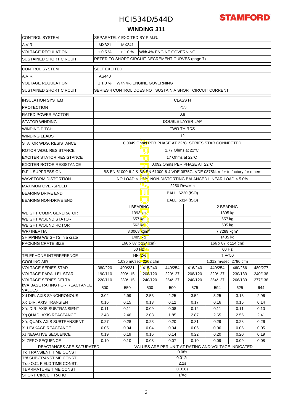

### **WINDING 311**

| <b>CONTROL SYSTEM</b>                                 | SEPARATELY EXCITED BY P.M.G.                                                         |                          |                                          |                             |                                                 |                                                           |         |         |  |  |  |  |  |
|-------------------------------------------------------|--------------------------------------------------------------------------------------|--------------------------|------------------------------------------|-----------------------------|-------------------------------------------------|-----------------------------------------------------------|---------|---------|--|--|--|--|--|
| A.V.R.                                                | MX341<br>MX321                                                                       |                          |                                          |                             |                                                 |                                                           |         |         |  |  |  |  |  |
| <b>VOLTAGE REGULATION</b>                             | $\pm 0.5 \%$<br>± 1.0 %<br>With 4% ENGINE GOVERNING                                  |                          |                                          |                             |                                                 |                                                           |         |         |  |  |  |  |  |
| <b>SUSTAINED SHORT CIRCUIT</b>                        | REFER TO SHORT CIRCUIT DECREMENT CURVES (page 7)                                     |                          |                                          |                             |                                                 |                                                           |         |         |  |  |  |  |  |
|                                                       |                                                                                      |                          |                                          |                             |                                                 |                                                           |         |         |  |  |  |  |  |
| <b>CONTROL SYSTEM</b>                                 | <b>SELF EXCITED</b>                                                                  |                          |                                          |                             |                                                 |                                                           |         |         |  |  |  |  |  |
| A.V.R.                                                | AS440                                                                                |                          |                                          |                             |                                                 |                                                           |         |         |  |  |  |  |  |
| <b>VOLTAGE REGULATION</b>                             | ± 1.0%<br>With 4% ENGINE GOVERNING                                                   |                          |                                          |                             |                                                 |                                                           |         |         |  |  |  |  |  |
| <b>SUSTAINED SHORT CIRCUIT</b>                        |                                                                                      |                          |                                          |                             |                                                 | SERIES 4 CONTROL DOES NOT SUSTAIN A SHORT CIRCUIT CURRENT |         |         |  |  |  |  |  |
| <b>INSULATION SYSTEM</b>                              | <b>CLASS H</b>                                                                       |                          |                                          |                             |                                                 |                                                           |         |         |  |  |  |  |  |
| <b>PROTECTION</b>                                     |                                                                                      |                          |                                          | IP <sub>23</sub>            |                                                 |                                                           |         |         |  |  |  |  |  |
| <b>RATED POWER FACTOR</b>                             |                                                                                      |                          |                                          |                             | 0.8                                             |                                                           |         |         |  |  |  |  |  |
| <b>STATOR WINDING</b>                                 |                                                                                      |                          |                                          | DOUBLE LAYER LAP            |                                                 |                                                           |         |         |  |  |  |  |  |
| <b>WINDING PITCH</b>                                  |                                                                                      |                          |                                          | <b>TWO THIRDS</b>           |                                                 |                                                           |         |         |  |  |  |  |  |
| <b>WINDING LEADS</b>                                  |                                                                                      |                          |                                          | 12                          |                                                 |                                                           |         |         |  |  |  |  |  |
|                                                       |                                                                                      |                          |                                          |                             |                                                 |                                                           |         |         |  |  |  |  |  |
| STATOR WDG, RESISTANCE                                |                                                                                      |                          |                                          |                             |                                                 | 0.0049 Ohms PER PHASE AT 22°C SERIES STAR CONNECTED       |         |         |  |  |  |  |  |
| ROTOR WDG, RESISTANCE                                 |                                                                                      | 1.77 Ohms at 22°C        |                                          |                             |                                                 |                                                           |         |         |  |  |  |  |  |
| <b>EXCITER STATOR RESISTANCE</b>                      |                                                                                      | 17 Ohms at 22°C          |                                          |                             |                                                 |                                                           |         |         |  |  |  |  |  |
| <b>EXCITER ROTOR RESISTANCE</b>                       |                                                                                      |                          |                                          |                             | 0.092 Ohms PER PHASE AT 22°C                    |                                                           |         |         |  |  |  |  |  |
| <b>R.F.I. SUPPRESSION</b>                             | BS EN 61000-6-2 & BS EN 61000-6-4, VDE 0875G, VDE 0875N. refer to factory for others |                          |                                          |                             |                                                 |                                                           |         |         |  |  |  |  |  |
| <b>WAVEFORM DISTORTION</b>                            | NO LOAD < 1.5%, NON-DISTORTING BALANCED LINEAR LOAD < 5.0%                           |                          |                                          |                             |                                                 |                                                           |         |         |  |  |  |  |  |
| <b>MAXIMUM OVERSPEED</b>                              | 2250 Rev/Min                                                                         |                          |                                          |                             |                                                 |                                                           |         |         |  |  |  |  |  |
| BEARING DRIVE END                                     |                                                                                      | ו וו<br>BALL. 6220 (ISO) |                                          |                             |                                                 |                                                           |         |         |  |  |  |  |  |
| BEARING NON-DRIVE END                                 |                                                                                      |                          |                                          | BALL. 6314 (ISO)            |                                                 |                                                           |         |         |  |  |  |  |  |
|                                                       |                                                                                      |                          | 1 BEARING                                |                             | 2 BEARING                                       |                                                           |         |         |  |  |  |  |  |
| <b>WEIGHT COMP. GENERATOR</b>                         |                                                                                      |                          | 1393 kg                                  |                             |                                                 | 1395 kg                                                   |         |         |  |  |  |  |  |
| <b>WEIGHT WOUND STATOR</b>                            |                                                                                      |                          | 657 kg                                   |                             | 657 kg                                          |                                                           |         |         |  |  |  |  |  |
| <b>WEIGHT WOUND ROTOR</b>                             |                                                                                      |                          | 563 kg                                   |                             |                                                 | 535 kg                                                    |         |         |  |  |  |  |  |
| <b>WR<sup>2</sup> INERTIA</b>                         |                                                                                      |                          | 8.0068 $kgm^2$                           |                             | $\overline{7.7289}$ kgm <sup>2</sup><br>1485 kg |                                                           |         |         |  |  |  |  |  |
| SHIPPING WEIGHTS in a crate<br>PACKING CRATE SIZE     |                                                                                      |                          | 1485 <sub>kg</sub><br>166 x 87 x 124(cm) |                             | 166 x 87 x 124(cm)                              |                                                           |         |         |  |  |  |  |  |
|                                                       |                                                                                      |                          | 50 Hz                                    |                             | 60 Hz                                           |                                                           |         |         |  |  |  |  |  |
| TELEPHONE INTERFERENCE                                |                                                                                      |                          | THF< $2%$                                |                             | <b>TIF&lt;50</b>                                |                                                           |         |         |  |  |  |  |  |
| <b>COOLING AIR</b>                                    |                                                                                      |                          | 1.035 m <sup>3</sup> /sec 2202 cfm       |                             | 1.312 m <sup>3</sup> /sec 2780 cfm              |                                                           |         |         |  |  |  |  |  |
| <b>VOLTAGE SERIES STAR</b>                            | 380/220                                                                              | 400/231                  | 415/240                                  | 440/254                     | 416/240                                         | 440/254                                                   | 460/266 | 480/277 |  |  |  |  |  |
| <b>VOLTAGE PARALLEL STAR</b>                          | 190/110                                                                              | 200/115                  | 208/120                                  | 220/127                     | 208/120                                         | 220/127                                                   | 230/133 | 240/138 |  |  |  |  |  |
| <b>VOLTAGE SERIES DELTA</b>                           | 220/110                                                                              | 230/115                  | 240/120                                  | 254/127                     | 240/120                                         | 254/127                                                   | 266/133 | 277/138 |  |  |  |  |  |
| <b>KVA BASE RATING FOR REACTANCE</b><br><b>VALUES</b> | 500                                                                                  | 550                      | 500                                      | 500                         | 575                                             | 594                                                       | 625     | 644     |  |  |  |  |  |
| Xd DIR. AXIS SYNCHRONOUS                              | 3.02                                                                                 | 2.99                     | 2.53                                     | 2.25                        | 3.52                                            | 3.25                                                      | 3.13    | 2.96    |  |  |  |  |  |
| X'd DIR. AXIS TRANSIENT                               | 0.16                                                                                 | 0.15                     | 0.13                                     | 0.12                        | 0.17                                            | 0.16                                                      | 0.15    | 0.14    |  |  |  |  |  |
| X"d DIR. AXIS SUBTRANSIENT                            | 0.11                                                                                 | 0.11                     | 0.09                                     | 0.08                        | 0.12                                            | 0.11                                                      | 0.11    | 0.10    |  |  |  |  |  |
| Xq QUAD. AXIS REACTANCE                               | 2.48                                                                                 | 2.46                     | 2.08                                     | 1.85                        | 2.87                                            | 2.65                                                      | 2.55    | 2.41    |  |  |  |  |  |
| X"q QUAD. AXIS SUBTRANSIENT                           | 0.27                                                                                 | 0.28                     | 0.23                                     | 0.20                        | 0.31                                            | 0.29                                                      | 0.28    | 0.26    |  |  |  |  |  |
| XL LEAKAGE REACTANCE                                  | 0.05                                                                                 | 0.04                     | 0.04                                     | 0.04                        | 0.06                                            | 0.06                                                      | 0.05    | 0.05    |  |  |  |  |  |
| X <sub>2</sub> NEGATIVE SEQUENCE                      | 0.19                                                                                 | 0.19                     | 0.16                                     | 0.14                        | 0.22                                            | 0.20                                                      | 0.20    | 0.19    |  |  |  |  |  |
| X <sub>0</sub> ZERO SEQUENCE                          | 0.10<br>0.10<br>0.08<br>0.07<br>0.10<br>0.09<br>0.09<br>0.08                         |                          |                                          |                             |                                                 |                                                           |         |         |  |  |  |  |  |
| REACTANCES ARE SATURATED                              |                                                                                      |                          |                                          |                             |                                                 | VALUES ARE PER UNIT AT RATING AND VOLTAGE INDICATED       |         |         |  |  |  |  |  |
| T'd TRANSIENT TIME CONST.<br>T"d SUB-TRANSTIME CONST. |                                                                                      |                          |                                          | 0.08 <sub>S</sub><br>0.012s |                                                 |                                                           |         |         |  |  |  |  |  |
| T'do O.C. FIELD TIME CONST.                           |                                                                                      |                          |                                          | 2.2s                        |                                                 |                                                           |         |         |  |  |  |  |  |
| Ta ARMATURE TIME CONST.                               | 0.018s                                                                               |                          |                                          |                             |                                                 |                                                           |         |         |  |  |  |  |  |
| <b>SHORT CIRCUIT RATIO</b>                            |                                                                                      |                          |                                          | 1/Xd                        |                                                 |                                                           |         |         |  |  |  |  |  |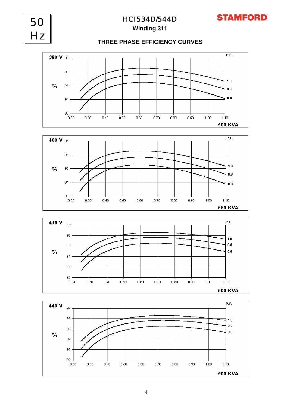



 $0.60$ 

 $0.70$ 

 $0.80$ 

 $0.90$ 

 $1.00$ 

 $1.10$ 

**550 KVA** 

93

 $0.20$ 

 $0.30$ 

 $0.40$ 

 $0.50$ 

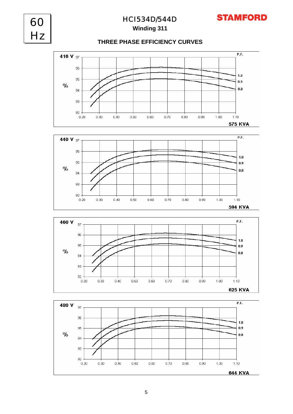

**Winding 311**

### **THREE PHASE EFFICIENCY CURVES**







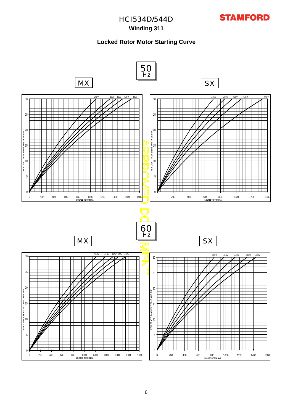

### **Winding 311**

### **Locked Rotor Motor Starting Curve**

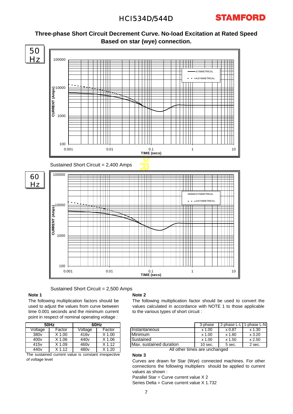





Sustained Short Circuit = 2,500 Amps

### **Note 1**

The following multiplication factors should be used to adjust the values from curve between time 0.001 seconds and the minimum current point in respect of nominal operating voltage :

|                                                      | 50Hz     | 60Hz             |                     |  |  |  |  |  |
|------------------------------------------------------|----------|------------------|---------------------|--|--|--|--|--|
| Voltage                                              | Factor   | Voltage          | Factor              |  |  |  |  |  |
| 380 <sub>v</sub>                                     | $X$ 1.00 | 416 <sub>v</sub> | $X$ 1.00            |  |  |  |  |  |
| 400v                                                 | $X$ 1.06 | 440 <sub>v</sub> | $X$ 1.06            |  |  |  |  |  |
| 415 <sub>v</sub>                                     | $X$ 1.09 | 460 <sub>v</sub> | $\overline{X}$ 1.12 |  |  |  |  |  |
| 440 <sub>v</sub>                                     | $X$ 1.12 | 480 <sub>v</sub> | $X$ 1.20            |  |  |  |  |  |
| The sustained current value is constant irrespective |          |                  |                     |  |  |  |  |  |

The sustained current value is constant irrespective of voltage level

### **Note 2**

The following multiplication factor should be used to convert the values calculated in accordance with NOTE 1 to those applicable to the various types of short circuit :

| 60Hz |        |                         | 3-phase   | 2-phase L-L   | 1-phase L-NI |
|------|--------|-------------------------|-----------|---------------|--------------|
| ge   | Factor | <b>Ilnstantaneous</b>   | $x$ 1.00  | $\times 0.87$ | $x$ 1.30     |
| v    | X 1.00 | <b>Minimum</b>          | $x$ 1.00  | x 1.80        | x3.20        |
|      | X 1.06 | Sustained               | $x$ 1.00  | x 1.50        | $x$ 2.50     |
|      | (112   | Max. sustained duration | $10$ sec. | 5 sec.        | 2 sec.       |

All other times are unchanged

### **Note 3** Curves are drawn for Star (Wye) connected machines. For other connections the following multipliers should be applied to current values as shown :

Parallel Star = Curve current value X 2

Series Delta = Curve current value X 1.732 7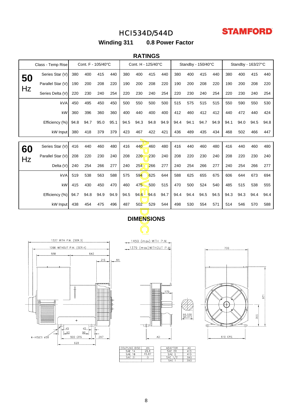

**Winding 311 0.8 Power Factor**

### **RATINGS**

| Cont. F - 105/40°C<br>Class - Temp Rise        |                   |      |      | Cont. H - 125/40°C |      |      | Standby - 150/40°C      |      |      |      | Standby - 163/27°C |      |      |      |      |      |      |
|------------------------------------------------|-------------------|------|------|--------------------|------|------|-------------------------|------|------|------|--------------------|------|------|------|------|------|------|
| 50                                             | Series Star (V)   | 380  | 400  | 415                | 440  | 380  | 400                     | 415  | 440  | 380  | 400                | 415  | 440  | 380  | 400  | 415  | 440  |
|                                                | Parallel Star (V) | 190  | 200  | 208                | 220  | 190  | 200                     | 208  | 220  | 190  | 200                | 208  | 220  | 190  | 200  | 208  | 220  |
| Hz                                             | Series Delta (V)  | 220  | 230  | 240                | 254  | 220  | 230                     | 240  | 254  | 220  | 230                | 240  | 254  | 220  | 230  | 240  | 254  |
|                                                | kVA               | 450  | 495  | 450                | 450  | 500  | 550                     | 500  | 500  | 515  | 575                | 515  | 515  | 550  | 590  | 550  | 530  |
|                                                | kW                | 360  | 396  | 360                | 360  | 400  | 440                     | 400  | 400  | 412  | 460                | 412  | 412  | 440  | 472  | 440  | 424  |
|                                                | Efficiency (%)    | 94.8 | 94.7 | 95.0               | 95.1 | 94.5 | 94.3                    | 94.8 | 94.9 | 94.4 | 94.1               | 94.7 | 94.9 | 94.1 | 94.0 | 94.5 | 94.8 |
|                                                | kW Input          | 380  | 418  | 379                | 379  | 423  | 467                     | 422  | 421  | 436  | 489                | 435  | 434  | 468  | 502  | 466  | 447  |
|                                                |                   |      |      |                    |      |      |                         |      |      |      |                    |      |      |      |      |      |      |
| 60                                             | Series Star (V)   | 416  | 440  | 460                | 480  | 416  | 440                     | 460  | 480  | 416  | 440                | 460  | 480  | 416  | 440  | 460  | 480  |
| Hz                                             | Parallel Star (V) | 208  | 220  | 230                | 240  | 208  | 220                     | 230  | 240  | 208  | 220                | 230  | 240  | 208  | 220  | 230  | 240  |
|                                                | Delta (V)         | 240  | 254  | 266                | 277  | 240  | 254                     | 266  | 277  | 240  | 254                | 266  | 277  | 240  | 254  | 266  | 277  |
|                                                | kVA               | 519  | 538  | 563                | 588  | 575  | 594                     | 625  | 644  | 588  | 625                | 655  | 675  | 606  | 644  | 673  | 694  |
|                                                | kW                | 415  | 430  | 450                | 470  | 460  | 475                     | 500  | 515  | 470  | 500                | 524  | 540  | 485  | 515  | 538  | 555  |
|                                                | Efficiency (%)    | 94.7 | 94.8 | 94.9               | 94.9 | 94.5 | 94.6                    | 94.6 | 94.7 | 94.4 | 94.4               | 94.5 | 94.5 | 94.3 | 94.3 | 94.4 | 94.4 |
|                                                | kW Input          | 438  | 454  | 475                | 496  | 487  | 502                     | 529  | 544  | 498  | 530                | 554  | 571  | 514  | 546  | 570  | 588  |
|                                                |                   |      |      |                    |      |      | <b>DIMENSIONS</b>       |      |      |      |                    |      |      |      |      |      |      |
|                                                |                   |      |      |                    |      |      |                         |      |      |      |                    |      |      |      |      |      |      |
|                                                |                   |      |      |                    |      |      |                         |      |      |      |                    |      |      |      |      |      |      |
| 1337 WITH P.M. (SER.3)<br>1450 (max) WITH P.M. |                   |      |      |                    |      |      |                         |      |      |      |                    |      |      |      |      |      |      |
| 1266 WITHOUT P.M. (SER.4)                      |                   |      |      |                    |      |      | 1379 (max) WITHOUT P.M. |      |      |      |                    |      |      | 700  |      |      |      |
| 642<br>558                                     |                   |      |      |                    |      |      |                         |      |      |      |                    |      |      |      |      |      |      |
|                                                |                   |      |      | 215                | AN   |      |                         |      |      |      |                    |      |      |      |      |      |      |
|                                                |                   |      |      |                    |      |      |                         |      |      |      |                    |      |      |      |      |      |      |

# **DIMENSIONS**